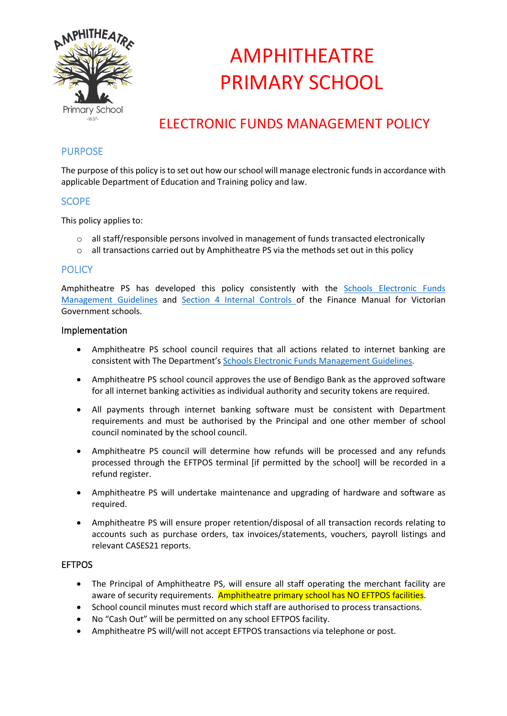

# AMPHITHEATRE PRIMARY SCHOOL

### ELECTRONIC FUNDS MANAGEMENT POLICY

### PURPOSE

The purpose of this policy is to set out how our school will manage electronic funds in accordance with applicable Department of Education and Training policy and law.

### **SCOPE**

This policy applies to:

- $\circ$  all staff/responsible persons involved in management of funds transacted electronically
- o all transactions carried out by Amphitheatre PS via the methods set out in this policy

### **POLICY**

Amphitheatre PS has developed this policy consistently with the [Schools Electronic Funds](http://www.education.vic.gov.au/Documents/school/principals/finance/Fin%20Schools%20Electronic%20Funds%20Management%20Guidelines%20V1_2.pdf)  [Management Guidelines](http://www.education.vic.gov.au/Documents/school/principals/finance/Fin%20Schools%20Electronic%20Funds%20Management%20Guidelines%20V1_2.pdf) and [Section 4 Internal Controls](http://www.education.vic.gov.au/Documents/school/teachers/management/fmvgssection4.pdf) of the Finance Manual for Victorian Government schools.

#### Implementation

- Amphitheatre PS school council requires that all actions related to internet banking are consistent with The Department's [Schools Electronic Funds Management Guidelines.](http://www.education.vic.gov.au/Documents/school/principals/finance/Fin%20Schools%20Electronic%20Funds%20Management%20Guidelines%20V1_2.pdf)
- Amphitheatre PS school council approves the use of Bendigo Bank as the approved software for all internet banking activities as individual authority and security tokens are required.
- All payments through internet banking software must be consistent with Department requirements and must be authorised by the Principal and one other member of school council nominated by the school council.
- Amphitheatre PS council will determine how refunds will be processed and any refunds processed through the EFTPOS terminal [if permitted by the school] will be recorded in a refund register.
- Amphitheatre PS will undertake maintenance and upgrading of hardware and software as required.
- Amphitheatre PS will ensure proper retention/disposal of all transaction records relating to accounts such as purchase orders, tax invoices/statements, vouchers, payroll listings and relevant CASES21 reports.

#### **EFTPOS**

- The Principal of Amphitheatre PS, will ensure all staff operating the merchant facility are aware of security requirements. Amphitheatre primary school has NO EFTPOS facilities.
- School council minutes must record which staff are authorised to process transactions.
- No "Cash Out" will be permitted on any school EFTPOS facility.
- Amphitheatre PS will/will not accept EFTPOS transactions via telephone or post.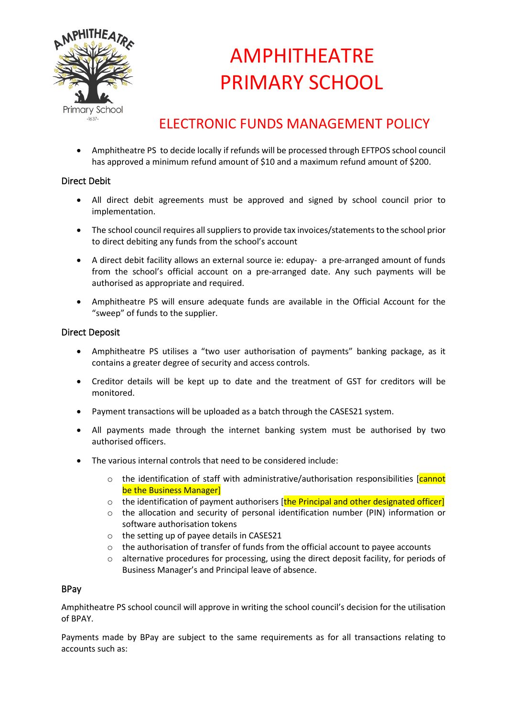

# AMPHITHEATRE PRIMARY SCHOOL

### ELECTRONIC FUNDS MANAGEMENT POLICY

• Amphitheatre PS to decide locally if refunds will be processed through EFTPOS school council has approved a minimum refund amount of \$10 and a maximum refund amount of \$200.

### Direct Debit

- All direct debit agreements must be approved and signed by school council prior to implementation.
- The school council requires all suppliers to provide tax invoices/statements to the school prior to direct debiting any funds from the school's account
- A direct debit facility allows an external source ie: edupay- a pre-arranged amount of funds from the school's official account on a pre-arranged date. Any such payments will be authorised as appropriate and required.
- Amphitheatre PS will ensure adequate funds are available in the Official Account for the "sweep" of funds to the supplier.

### Direct Deposit

- Amphitheatre PS utilises a "two user authorisation of payments" banking package, as it contains a greater degree of security and access controls.
- Creditor details will be kept up to date and the treatment of GST for creditors will be monitored.
- Payment transactions will be uploaded as a batch through the CASES21 system.
- All payments made through the internet banking system must be authorised by two authorised officers.
- The various internal controls that need to be considered include:
	- $\circ$  the identification of staff with administrative/authorisation responsibilities [cannot] be the Business Manager]
	- $\circ$  the identification of payment authorisers [the Principal and other designated officer]
	- o the allocation and security of personal identification number (PIN) information or software authorisation tokens
	- o the setting up of payee details in CASES21
	- $\circ$  the authorisation of transfer of funds from the official account to payee accounts
	- o alternative procedures for processing, using the direct deposit facility, for periods of Business Manager's and Principal leave of absence.

#### BPay

Amphitheatre PS school council will approve in writing the school council's decision for the utilisation of BPAY.

Payments made by BPay are subject to the same requirements as for all transactions relating to accounts such as: